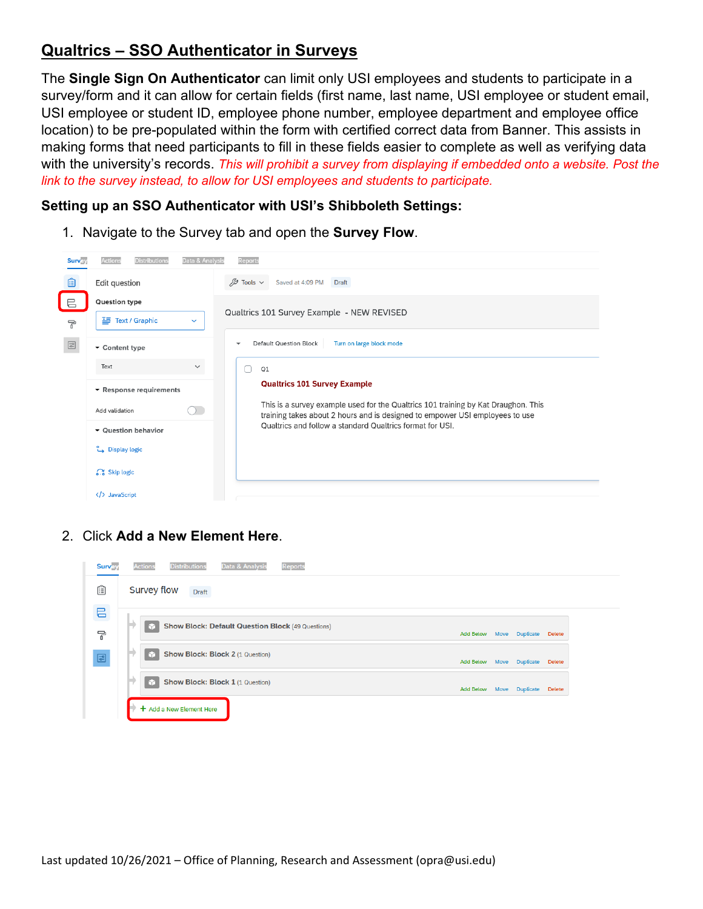# **Qualtrics – SSO Authenticator in Surveys**

The **Single Sign On Authenticator** can limit only USI employees and students to participate in a survey/form and it can allow for certain fields (first name, last name, USI employee or student email, USI employee or student ID, employee phone number, employee department and employee office location) to be pre-populated within the form with certified correct data from Banner. This assists in making forms that need participants to fill in these fields easier to complete as well as verifying data with the university's records. *This will prohibit a survey from displaying if embedded onto a website. Post the link to the survey instead, to allow for USI employees and students to participate.*

## **Setting up an SSO Authenticator with USI's Shibboleth Settings:**

1. Navigate to the Survey tab and open the **Survey Flow**.



2. Click **Add a New Element Here**.

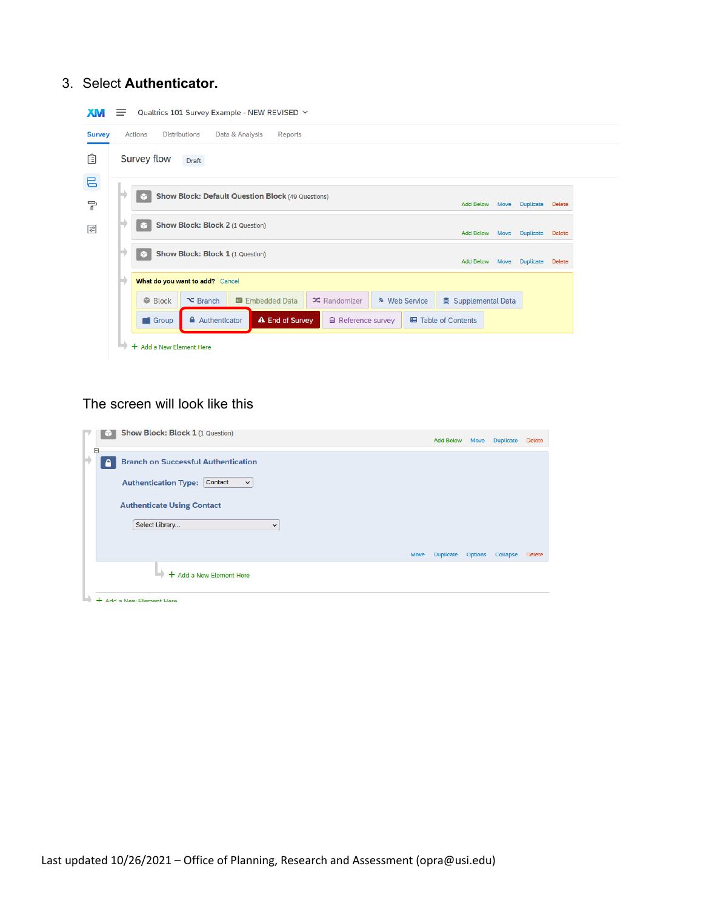### 3. Select **Authenticator.**

| <b>XM</b>     | =                                                                                     |                |                                         | Qualtrics 101 Survey Example - NEW REVISED $\vee$        |                              |                      |                            |      |                  |               |
|---------------|---------------------------------------------------------------------------------------|----------------|-----------------------------------------|----------------------------------------------------------|------------------------------|----------------------|----------------------------|------|------------------|---------------|
| <b>Survey</b> |                                                                                       | <b>Actions</b> | <b>Distributions</b>                    | Data & Analysis<br>Reports                               |                              |                      |                            |      |                  |               |
| €             |                                                                                       | Survey flow    | Draft                                   |                                                          |                              |                      |                            |      |                  |               |
| e<br>무        |                                                                                       | IM.            |                                         | <b>Show Block: Default Question Block (49 Questions)</b> |                              |                      | <b>Add Below</b>           | Move | Duplicate        | <b>Delete</b> |
| 딯             |                                                                                       | r              | <b>Show Block: Block 2 (1 Question)</b> |                                                          |                              |                      | <b>Add Below</b>           | Move | <b>Duplicate</b> | <b>Delete</b> |
|               | <b>Show Block: Block 1 (1 Question)</b><br>r<br><b>Add Below</b><br>Move<br>Duplicate |                |                                         |                                                          |                              | Delete               |                            |      |                  |               |
|               | What do you want to add? Cancel                                                       |                |                                         |                                                          |                              |                      |                            |      |                  |               |
|               |                                                                                       | <b>● Block</b> | $\approx$ Branch                        | <b>ED</b> Embedded Data                                  | $\mathbf{\times}$ Randomizer | <b>N</b> Web Service | Supplemental Data          |      |                  |               |
|               |                                                                                       | Group          | Authenticator                           | <b>A</b> End of Survey                                   | <b>旨 Reference survey</b>    |                      | <b>■ Table of Contents</b> |      |                  |               |

# The screen will look like this

|             | <b>Show Block: Block 1 (1 Question)</b>               |      | <b>Add Below</b> | Move    | Duplicate | Delete        |
|-------------|-------------------------------------------------------|------|------------------|---------|-----------|---------------|
| $\Box$<br>A | <b>Branch on Successful Authentication</b>            |      |                  |         |           |               |
|             | <b>Authentication Type:</b><br>Contact<br>$\check{~}$ |      |                  |         |           |               |
|             | <b>Authenticate Using Contact</b>                     |      |                  |         |           |               |
|             | Select Library<br>$\checkmark$                        |      |                  |         |           |               |
|             |                                                       | Move | <b>Duplicate</b> | Options | Collapse  | <b>Delete</b> |
|             | + Add a New Element Here                              |      |                  |         |           |               |
|             | <b>L</b> Add a Nour Floment Horn                      |      |                  |         |           |               |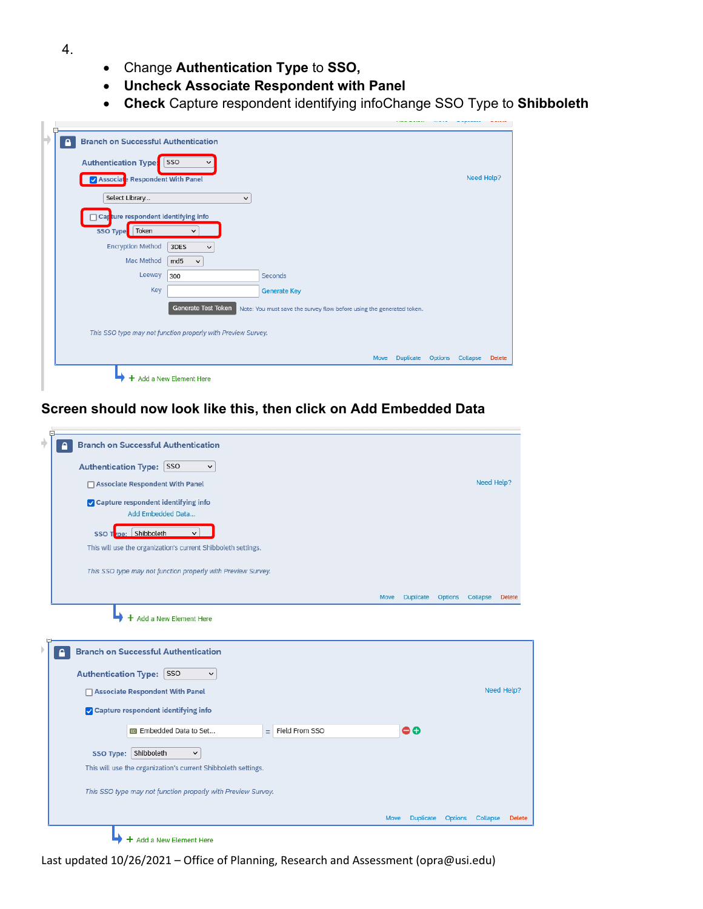- Change **Authentication Type** to **SSO,**
- **Uncheck Associate Respondent with Panel**
- **Check** Capture respondent identifying infoChange SSO Type to **Shibboleth**

| <b>Authentication Type:</b>         | SSO                                                          |                                                                       |  |            |
|-------------------------------------|--------------------------------------------------------------|-----------------------------------------------------------------------|--|------------|
| V Associate Respondent With Panel   |                                                              |                                                                       |  | Need Help? |
| Select Library                      |                                                              | $\check{~}$                                                           |  |            |
| Capture respondent identifying info |                                                              |                                                                       |  |            |
| Token<br><b>SSO Type</b>            | $\check{~}$                                                  |                                                                       |  |            |
| <b>Encryption Method</b>            | 3DES<br>$\check{ }$                                          |                                                                       |  |            |
| Mac Method                          | md <sub>5</sub><br>$\checkmark$                              |                                                                       |  |            |
| Leeway                              | 300                                                          | Seconds                                                               |  |            |
| Key                                 |                                                              | <b>Generate Key</b>                                                   |  |            |
|                                     | Generate Test Token                                          | Note: You must save the survey flow before using the generated token. |  |            |
|                                     | This SSO type may not function properly with Preview Survey. |                                                                       |  |            |
|                                     |                                                              |                                                                       |  |            |

#### **Screen should now look like this, then click on Add Embedded Data**

| <b>Branch on Successful Authentication</b>                    |      |                  |                |                         |            |
|---------------------------------------------------------------|------|------------------|----------------|-------------------------|------------|
| <b>Authentication Type:</b><br>SSO<br>$\check{~}$             |      |                  |                |                         |            |
| Associate Respondent With Panel                               |      |                  |                | Need Help?              |            |
| Capture respondent identifying info                           |      |                  |                |                         |            |
| Add Embedded Data                                             |      |                  |                |                         |            |
| SSO Trpe: Shibboleth<br>$\checkmark$                          |      |                  |                |                         |            |
| This will use the organization's current Shibboleth settings. |      |                  |                |                         |            |
| This SSO type may not function properly with Preview Survey.  |      |                  |                |                         |            |
|                                                               | Move | Duplicate        |                | Options Collapse Delete |            |
| + Add a New Element Here                                      |      |                  |                |                         |            |
| <b>Branch on Successful Authentication</b>                    |      |                  |                |                         |            |
| <b>Authentication Type:</b><br>SSO<br>$\checkmark$            |      |                  |                |                         |            |
| Associate Respondent With Panel                               |      |                  |                |                         | Need Help? |
| Capture respondent identifying info                           |      |                  |                |                         |            |
| Field From SSO<br><b>ED</b> Embedded Data to Set<br>$=$       |      | 80               |                |                         |            |
| Shibboleth<br>SSO Type:<br>$\checkmark$                       |      |                  |                |                         |            |
| This will use the organization's current Shibboleth settings. |      |                  |                |                         |            |
|                                                               |      |                  |                |                         |            |
| This SSO type may not function properly with Preview Survey.  |      |                  |                |                         |            |
|                                                               | Move | <b>Duplicate</b> | <b>Options</b> | Collapse                | Delete     |
|                                                               |      |                  |                |                         |            |

 $\rightarrow$  + Add a New Element Here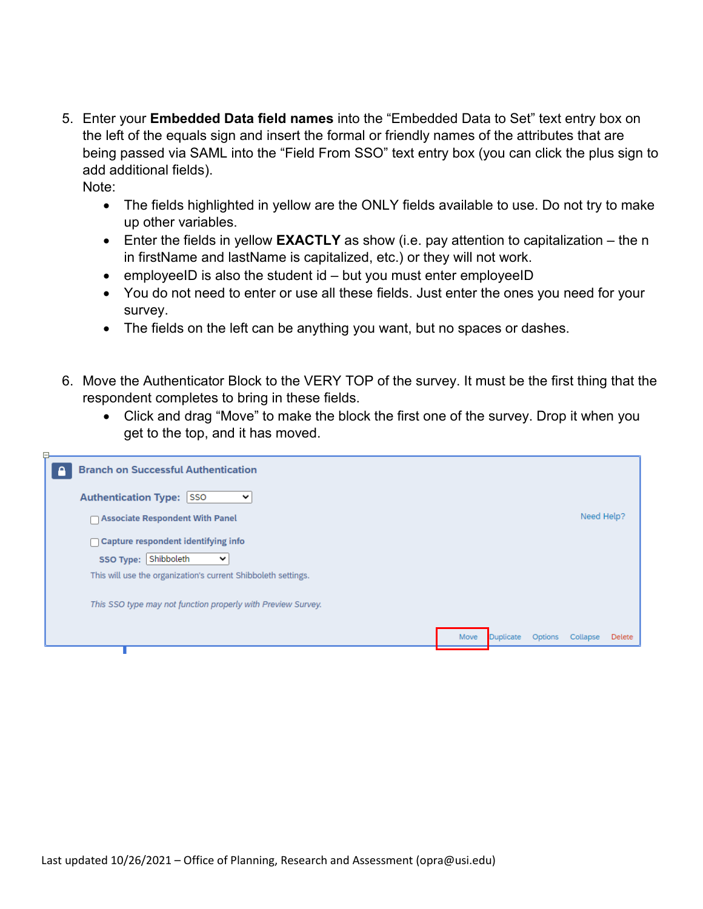5. Enter your **Embedded Data field names** into the "Embedded Data to Set" text entry box on the left of the equals sign and insert the formal or friendly names of the attributes that are being passed via SAML into the "Field From SSO" text entry box (you can click the plus sign to add additional fields).

Note:

- The fields highlighted in yellow are the ONLY fields available to use. Do not try to make up other variables.
- Enter the fields in yellow **EXACTLY** as show (i.e. pay attention to capitalization the n in firstName and lastName is capitalized, etc.) or they will not work.
- $\bullet$  employeeID is also the student id  $-$  but you must enter employeeID
- You do not need to enter or use all these fields. Just enter the ones you need for your survey.
- The fields on the left can be anything you want, but no spaces or dashes.
- 6. Move the Authenticator Block to the VERY TOP of the survey. It must be the first thing that the respondent completes to bring in these fields.
	- Click and drag "Move" to make the block the first one of the survey. Drop it when you get to the top, and it has moved.

| ≏ | <b>Branch on Successful Authentication</b>                    |      |           |         |            |        |
|---|---------------------------------------------------------------|------|-----------|---------|------------|--------|
|   | <b>Authentication Type: SSO</b><br>v                          |      |           |         |            |        |
|   | Associate Respondent With Panel                               |      |           |         | Need Help? |        |
|   | $\Box$ Capture respondent identifying info                    |      |           |         |            |        |
|   | Shibboleth<br>SSO Type:<br>$\checkmark$                       |      |           |         |            |        |
|   | This will use the organization's current Shibboleth settings. |      |           |         |            |        |
|   | This SSO type may not function properly with Preview Survey.  |      |           |         |            |        |
|   |                                                               | Move | Duplicate | Options | Collapse   | Delete |
|   |                                                               |      |           |         |            |        |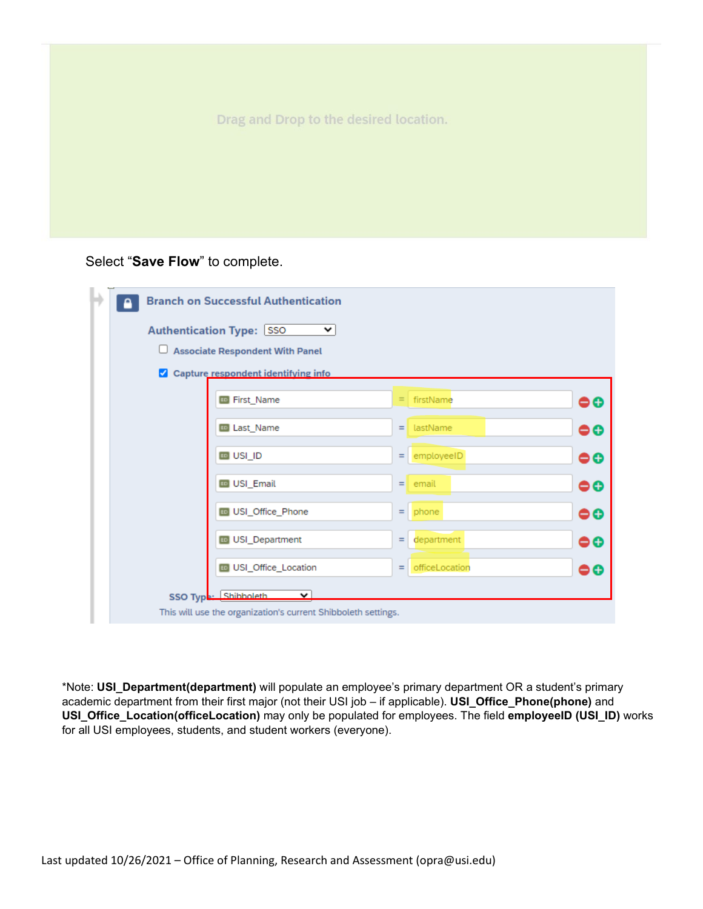Drag and Drop to the desired location.

# Select "**Save Flow**" to complete.

| <b>Branch on Successful Authentication</b><br>А                                                       |                                     |     |                     |    |  |  |
|-------------------------------------------------------------------------------------------------------|-------------------------------------|-----|---------------------|----|--|--|
| <b>Authentication Type: SSO</b><br>◡                                                                  |                                     |     |                     |    |  |  |
|                                                                                                       | □ Associate Respondent With Panel   |     |                     |    |  |  |
|                                                                                                       | Capture respondent identifying info |     |                     |    |  |  |
|                                                                                                       | <sup>110</sup> First_Name           | $=$ | firstName           | 00 |  |  |
|                                                                                                       | <sup>to</sup> Last_Name             | $=$ | lastName            | 00 |  |  |
|                                                                                                       | <b>ED</b> USI ID                    | $=$ | employeeID          | 00 |  |  |
|                                                                                                       | <sup>to</sup> USI_Email             |     | $=$ email           | 00 |  |  |
|                                                                                                       | ED USI_Office_Phone                 |     | $=$ phone           | 00 |  |  |
|                                                                                                       | ED USI_Department                   | $=$ | department          | 00 |  |  |
|                                                                                                       | ED USI Office Location              |     | $=$ office Location | 00 |  |  |
| SSO Type: Shibboleth<br>$\checkmark$<br>This will use the organization's current Shibboleth settings. |                                     |     |                     |    |  |  |

\*Note: **USI\_Department(department)** will populate an employee's primary department OR a student's primary academic department from their first major (not their USI job – if applicable). **USI\_Office\_Phone(phone)** and **USI\_Office\_Location(officeLocation)** may only be populated for employees. The field **employeeID (USI\_ID)** works for all USI employees, students, and student workers (everyone).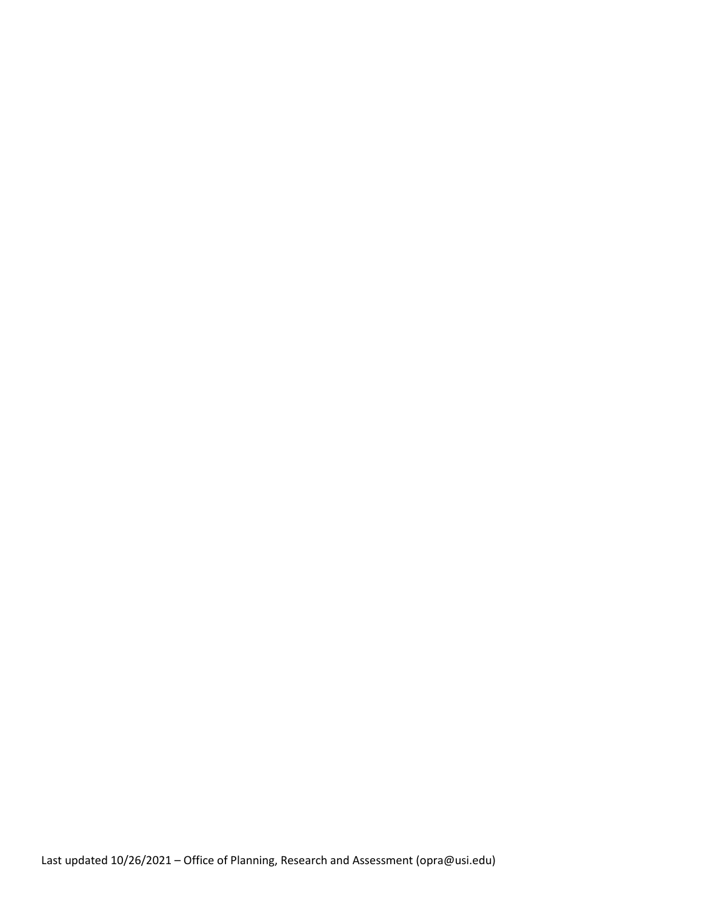Last updated 10/26/2021 – Office of Planning, Research and Assessment (opra@usi.edu)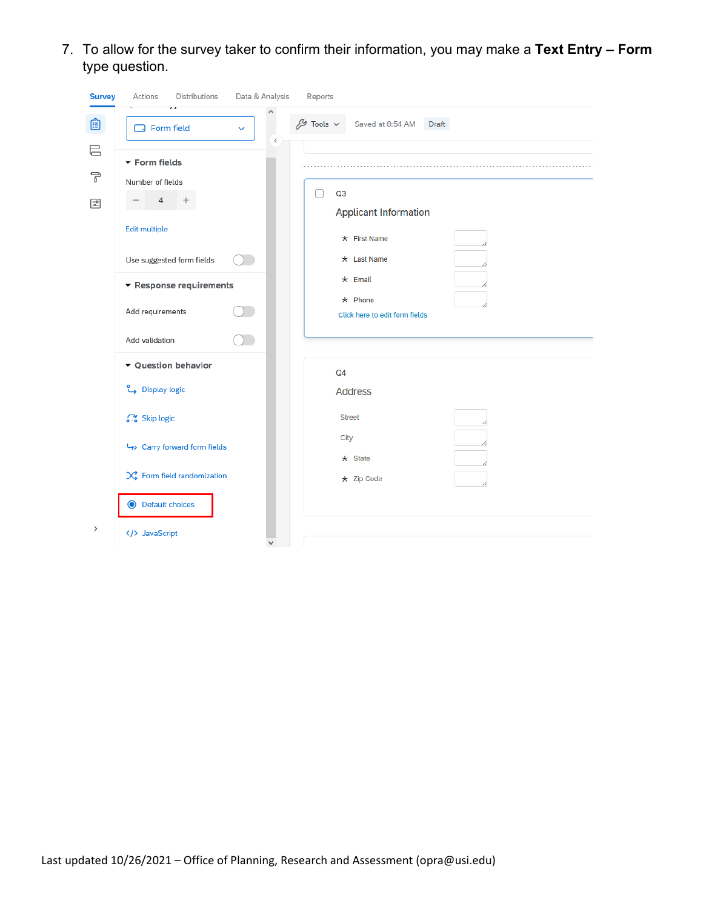7. To allow for the survey taker to confirm their information, you may make a **Text Entry – Form** type question.

| <b>Survey</b>                     | Data & Analysis<br>Actions<br>Distributions                                                                                       | Reports                                                                                                                                                       |
|-----------------------------------|-----------------------------------------------------------------------------------------------------------------------------------|---------------------------------------------------------------------------------------------------------------------------------------------------------------|
| €                                 | $\Box$ Form field<br>v                                                                                                            | $\mathcal{B}$ Tools $\vee$<br>Saved at 8:54 AM<br><b>Draft</b>                                                                                                |
| 吕<br>P<br>$\overline{\mathbf{e}}$ | Form fields<br>Number of fields<br>4<br>Edit multiple<br>Use suggested form fields<br>▼ Response requirements<br>Add requirements | Q <sub>3</sub><br><b>Applicant Information</b><br>$\star$ First Name<br>$\star$ Last Name<br>$\star$ Email<br>$\star$ Phone<br>Click here to edit form fields |
|                                   | Add validation                                                                                                                    |                                                                                                                                                               |
|                                   | $\blacktriangleright$ Question behavior<br>Display logic                                                                          | Q <sub>4</sub><br><b>Address</b>                                                                                                                              |
|                                   | <b>C</b> Skip logic                                                                                                               | <b>Street</b>                                                                                                                                                 |
|                                   | Carry forward form fields                                                                                                         | City<br>$\star$ State                                                                                                                                         |
|                                   | $\chi^*$ Form field randomization                                                                                                 | * Zip Code                                                                                                                                                    |
|                                   | ● Default choices                                                                                                                 |                                                                                                                                                               |
| $\rightarrow$                     | /> JavaScript                                                                                                                     |                                                                                                                                                               |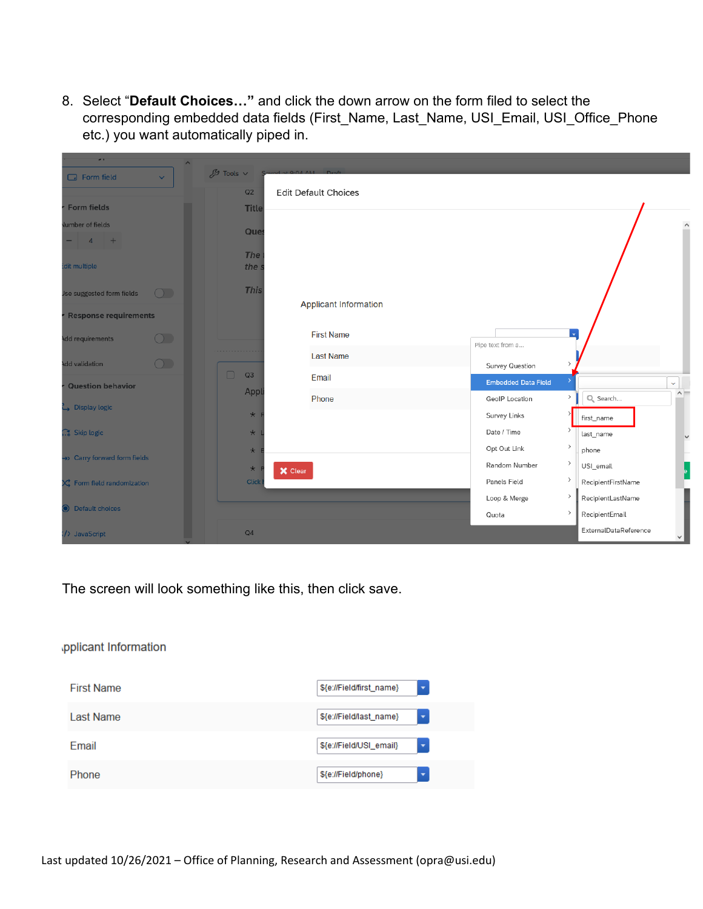8. Select "**Default Choices…"** and click the down arrow on the form filed to select the corresponding embedded data fields (First\_Name, Last\_Name, USI\_Email, USI\_Office\_Phone etc.) you want automatically piped in.

| <b>STEP</b>                             |                                  |                              |                                               |                                       |
|-----------------------------------------|----------------------------------|------------------------------|-----------------------------------------------|---------------------------------------|
| $\Box$ Form field<br>$\checkmark$       | $\mathcal{B}$ Tools $\sim$<br>Q2 | <b>Edit Default Choices</b>  |                                               |                                       |
| <b>Form fields</b>                      | <b>Title</b>                     |                              |                                               |                                       |
| <b>Jumber of fields</b>                 | <b>Que</b>                       |                              |                                               |                                       |
| dit multiple                            | <b>The</b><br>the :              |                              |                                               |                                       |
| $\bigcirc$<br>Jse suggested form fields | <b>This</b>                      | <b>Applicant Information</b> |                                               |                                       |
| Response requirements                   |                                  |                              |                                               |                                       |
| $\circlearrowright$<br>Add requirements |                                  | <b>First Name</b>            | Pipe text from a                              | $\blacktriangledown$                  |
| $\bigcirc$<br><b>Add validation</b>     |                                  | <b>Last Name</b>             | $\mathcal{E}$                                 |                                       |
|                                         | $\Box$<br>Q3                     | Email                        | Survey Question<br><b>Embedded Data Field</b> |                                       |
| <b>Question behavior</b>                | Appl                             |                              | $\rightarrow$<br><b>GeoIP</b> Location        | $\checkmark$<br>$\wedge$<br>Q Search  |
| $\rightarrow$ Display logic             | $\star$                          | Phone                        |                                               |                                       |
|                                         |                                  |                              | Survey Links                                  | first_name                            |
| Skip logic                              | $\star$                          |                              | Date / Time<br>$\,$                           | last_name<br>$\checkmark$             |
| >> Carry forward form fields            | $\star$                          |                              | Opt Out Link                                  | phone                                 |
|                                         | $\star$                          | X Clear                      | $\,$<br>Random Number                         | USI_email                             |
| $\times$ Form field randomization       | <b>Click</b>                     |                              | $\rightarrow$<br>Panels Field                 | RecipientFirstName                    |
| O Default choices                       |                                  |                              | Loop & Merge<br>->                            | RecipientLastName                     |
|                                         |                                  |                              | $\rightarrow$<br>Quota                        | RecipientEmail                        |
| :/> JavaScript                          | Q4                               |                              |                                               | ExternalDataReference<br>$\checkmark$ |

The screen will look something like this, then click save.

#### pplicant Information **First Name** \${e://Field/first\_name} **Last Name** \${e://Field/last\_name} Email \${e://Field/USI\_email}  $\star$ Phone \${e://Field/phone}  $\star$